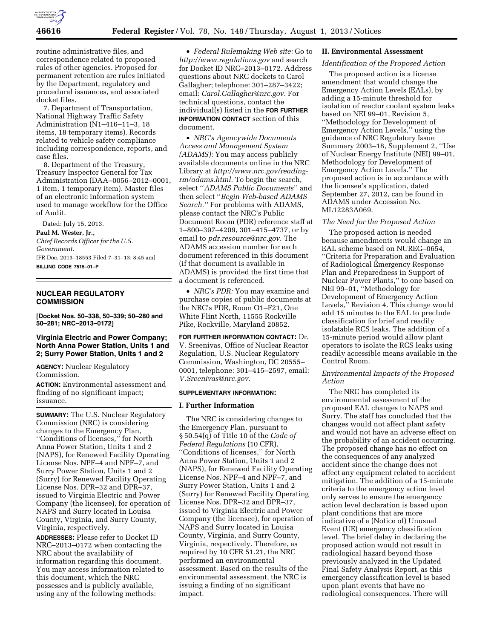

routine administrative files, and correspondence related to proposed rules of other agencies. Proposed for permanent retention are rules initiated by the Department, regulatory and procedural issuances, and associated docket files.

7. Department of Transportation, National Highway Traffic Safety Administration (N1–416–11–3, 18 items, 18 temporary items). Records related to vehicle safety compliance including correspondence, reports, and case files.

8. Department of the Treasury, Treasury Inspector General for Tax Administration (DAA–0056–2012–0001, 1 item, 1 temporary item). Master files of an electronic information system used to manage workflow for the Office of Audit.

Dated: July 15, 2013.

**Paul M. Wester, Jr.,** 

*Chief Records Officer for the U.S. Government.*  [FR Doc. 2013–18553 Filed 7–31–13; 8:45 am] **BILLING CODE 7515–01–P** 

## **NUCLEAR REGULATORY COMMISSION**

**[Docket Nos. 50–338, 50–339; 50–280 and 50–281; NRC–2013–0172]** 

## **Virginia Electric and Power Company; North Anna Power Station, Units 1 and 2; Surry Power Station, Units 1 and 2**

**AGENCY:** Nuclear Regulatory Commission.

**ACTION:** Environmental assessment and finding of no significant impact; issuance.

**SUMMARY:** The U.S. Nuclear Regulatory Commission (NRC) is considering changes to the Emergency Plan, ''Conditions of licenses,'' for North Anna Power Station, Units 1 and 2 (NAPS), for Renewed Facility Operating License Nos. NPF–4 and NPF–7, and Surry Power Station, Units 1 and 2 (Surry) for Renewed Facility Operating License Nos. DPR–32 and DPR–37, issued to Virginia Electric and Power Company (the licensee), for operation of NAPS and Surry located in Louisa County, Virginia, and Surry County, Virginia, respectively.

**ADDRESSES:** Please refer to Docket ID NRC–2013–0172 when contacting the NRC about the availability of information regarding this document. You may access information related to this document, which the NRC possesses and is publicly available, using any of the following methods:

• *Federal Rulemaking Web site:* Go to *<http://www.regulations.gov>* and search for Docket ID NRC–2013–0172. Address questions about NRC dockets to Carol Gallagher; telephone: 301–287–3422; email: *[Carol.Gallagher@nrc.gov.](mailto:Carol.Gallagher@nrc.gov)* For technical questions, contact the individual(s) listed in the **FOR FURTHER INFORMATION CONTACT** section of this document.

• *NRC's Agencywide Documents Access and Management System (ADAMS):* You may access publicly available documents online in the NRC Library at *[http://www.nrc.gov/reading](http://www.nrc.gov/reading-rm/adams.html)[rm/adams.html.](http://www.nrc.gov/reading-rm/adams.html)* To begin the search, select ''*ADAMS Public Documents*'' and then select ''*Begin Web-based ADAMS Search.''* For problems with ADAMS, please contact the NRC's Public Document Room (PDR) reference staff at 1–800–397–4209, 301–415–4737, or by email to *[pdr.resource@nrc.gov.](mailto:pdr.resource@nrc.gov)* The ADAMS accession number for each document referenced in this document (if that document is available in ADAMS) is provided the first time that a document is referenced.

• *NRC's PDR:* You may examine and purchase copies of public documents at the NRC's PDR, Room O1–F21, One White Flint North, 11555 Rockville Pike, Rockville, Maryland 20852.

**FOR FURTHER INFORMATION CONTACT:** Dr. V. Sreenivas, Office of Nuclear Reactor Regulation, U.S. Nuclear Regulatory Commission, Washington, DC 20555– 0001, telephone: 301–415–2597, email: *[V.Sreenivas@nrc.gov.](mailto:V.Sreenivas@nrc.gov)* 

## **SUPPLEMENTARY INFORMATION:**

#### **I. Further Information**

The NRC is considering changes to the Emergency Plan, pursuant to § 50.54(q) of Title 10 of the *Code of Federal Regulations* (10 CFR), ''Conditions of licenses,'' for North Anna Power Station, Units 1 and 2 (NAPS), for Renewed Facility Operating License Nos. NPF–4 and NPF–7, and Surry Power Station, Units 1 and 2 (Surry) for Renewed Facility Operating License Nos. DPR–32 and DPR–37, issued to Virginia Electric and Power Company (the licensee), for operation of NAPS and Surry located in Louisa County, Virginia, and Surry County, Virginia, respectively. Therefore, as required by 10 CFR 51.21, the NRC performed an environmental assessment. Based on the results of the environmental assessment, the NRC is issuing a finding of no significant impact.

## **II. Environmental Assessment**

## *Identification of the Proposed Action*

The proposed action is a license amendment that would change the Emergency Action Levels (EALs), by adding a 15-minute threshold for isolation of reactor coolant system leaks based on NEI 99–01, Revision 5, ''Methodology for Development of Emergency Action Levels,'' using the guidance of NRC Regulatory Issue Summary 2003–18, Supplement 2, ''Use of Nuclear Energy Institute (NEI) 99–01, Methodology for Development of Emergency Action Levels.'' The proposed action is in accordance with the licensee's application, dated September 27, 2012, can be found in ADAMS under Accession No. ML12283A069.

## *The Need for the Proposed Action*

The proposed action is needed because amendments would change an EAL scheme based on NUREG–0654, ''Criteria for Preparation and Evaluation of Radiological Emergency Response Plan and Preparedness in Support of Nuclear Power Plants,'' to one based on NEI 99–01, ''Methodology for Development of Emergency Action Levels,'' Revision 4. This change would add 15 minutes to the EAL to preclude classification for brief and readily isolatable RCS leaks. The addition of a 15-minute period would allow plant operators to isolate the RCS leaks using readily accessible means available in the Control Room.

## *Environmental Impacts of the Proposed Action*

The NRC has completed its environmental assessment of the proposed EAL changes to NAPS and Surry. The staff has concluded that the changes would not affect plant safety and would not have an adverse effect on the probability of an accident occurring. The proposed change has no effect on the consequences of any analyzed accident since the change does not affect any equipment related to accident mitigation. The addition of a 15-minute criteria to the emergency action level only serves to ensure the emergency action level declaration is based upon plant conditions that are more indicative of a (Notice of) Unusual Event (UE) emergency classification level. The brief delay in declaring the proposed action would not result in radiological hazard beyond those previously analyzed in the Updated Final Safety Analysis Report, as this emergency classification level is based upon plant events that have no radiological consequences. There will